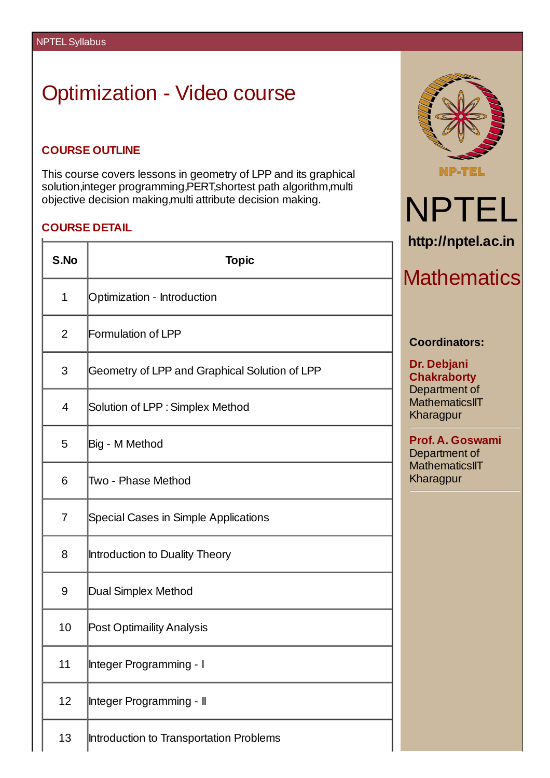## Optimization - Video course

## **COURSE OUTLINE**

This course covers lessons in geometry of LPP and its graphical solution, integer programming, PERT, shortest path algorithm, multi objective decision making,multi attribute decision making.

## **COURSE DETAIL**  $\overline{\mathsf{T}}$

Н

| S.No           | <b>Topic</b>                                  |  |
|----------------|-----------------------------------------------|--|
| $\mathbf{1}$   | Optimization - Introduction                   |  |
| $\overline{2}$ | Formulation of LPP                            |  |
| 3              | Geometry of LPP and Graphical Solution of LPP |  |
| 4              | Solution of LPP : Simplex Method              |  |
| 5              | Big - M Method                                |  |
| 6              | Two - Phase Method                            |  |
| $\overline{7}$ | Special Cases in Simple Applications          |  |
| 8              | Introduction to Duality Theory                |  |
| 9              | Dual Simplex Method                           |  |
| 10             | Post Optimaility Analysis                     |  |
| 11             | Integer Programming - I                       |  |
| 12             | Integer Programming - II                      |  |
| 13             | Introduction to Transportation Problems       |  |



NPTEL

**http://nptel.ac.in**

**Mathematics** 

**Coordinators:**

**Prof. A. Goswami** Department of **MathematicsIIT** Kharagpur

**Dr. Debjani Chakraborty** Department of **MathematicsIIT** Kharagpur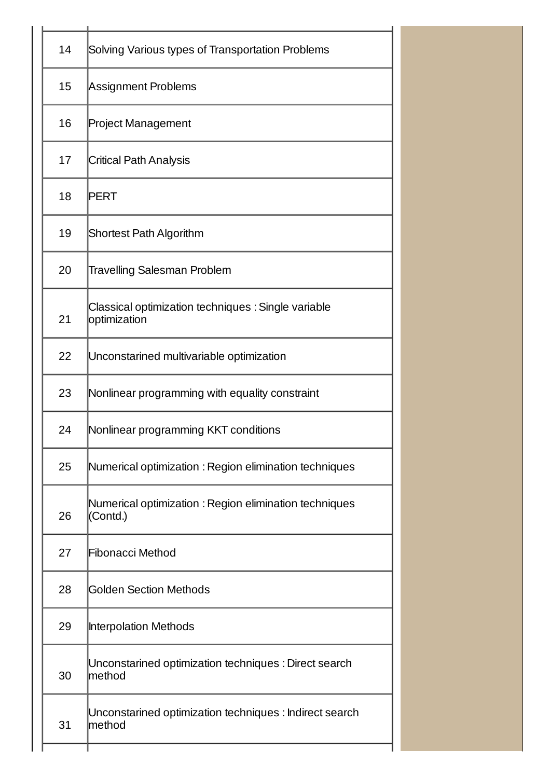| 14 | Solving Various types of Transportation Problems                    |  |  |
|----|---------------------------------------------------------------------|--|--|
| 15 | <b>Assignment Problems</b>                                          |  |  |
| 16 | <b>Project Management</b>                                           |  |  |
| 17 | <b>Critical Path Analysis</b>                                       |  |  |
| 18 | PERT                                                                |  |  |
| 19 | <b>Shortest Path Algorithm</b>                                      |  |  |
| 20 | <b>Travelling Salesman Problem</b>                                  |  |  |
| 21 | Classical optimization techniques : Single variable<br>optimization |  |  |
| 22 | Unconstarined multivariable optimization                            |  |  |
| 23 | Nonlinear programming with equality constraint                      |  |  |
| 24 | Nonlinear programming KKT conditions                                |  |  |
| 25 | Numerical optimization : Region elimination techniques              |  |  |
| 26 | Numerical optimization : Region elimination techniques<br>(Contd.)  |  |  |
| 27 | Fibonacci Method                                                    |  |  |
| 28 | Golden Section Methods                                              |  |  |
| 29 | Interpolation Methods                                               |  |  |
| 30 | Unconstarined optimization techniques : Direct search<br>lmethod    |  |  |
| 31 | Unconstarined optimization techniques : Indirect search<br>lmethod  |  |  |
|    |                                                                     |  |  |